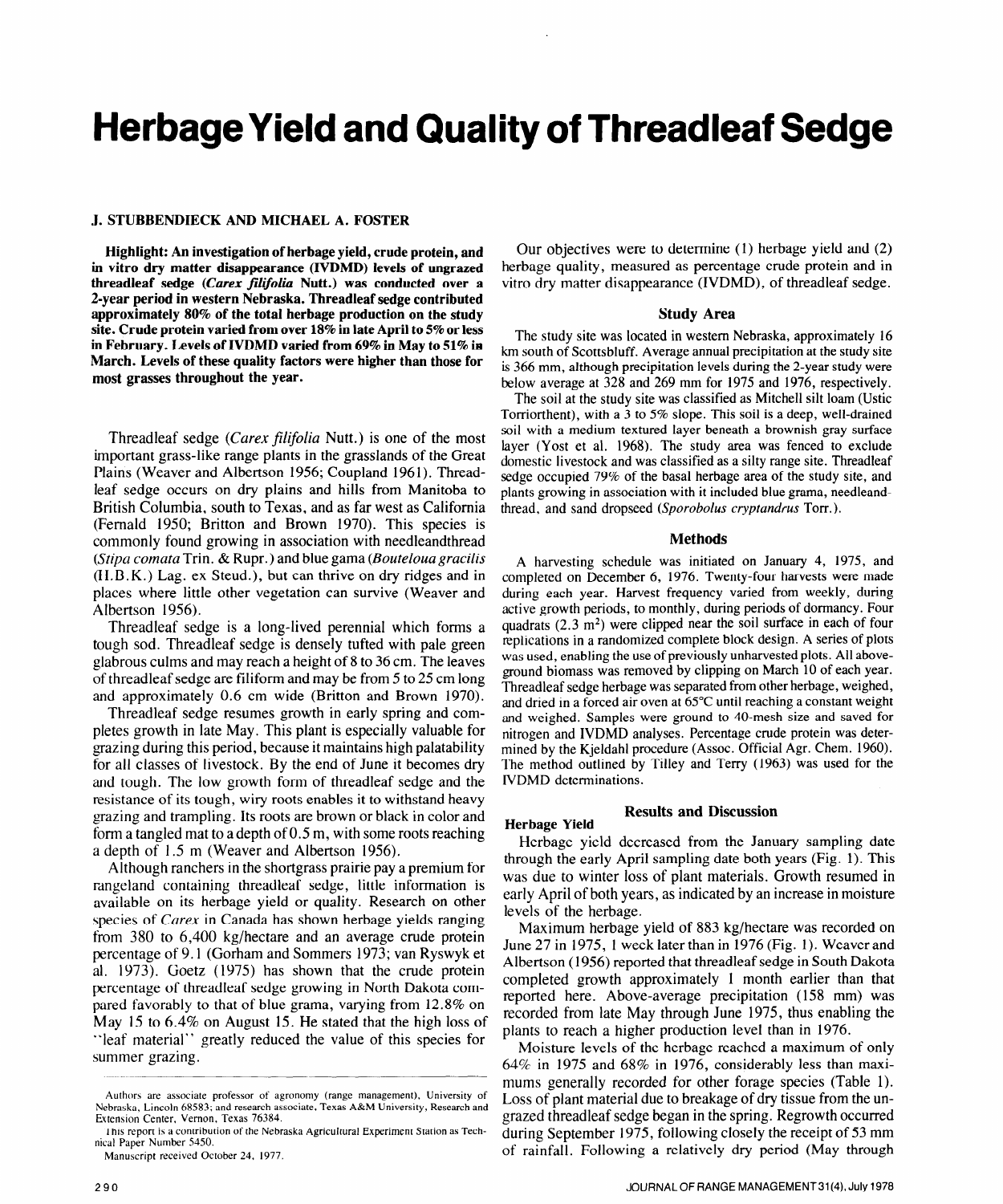# **Herbage Yield and Quality of Threadleaf Sedge**

#### **J. STUBBENDIECK AND MICHAEL A. FOSTER**

**Highlight: An investigation of herbage yield, crude protein, and in vitro dry matter disappearance (IVDMD) levels of ungrazed threadleaf sedge (Carex filifolia Nutt.)** was conducted over a **2-year period in western Nebraska. Threadleaf sedge contributed approximately 80% of the total herbage production on the study site. Crude protein varied from over 18% in late April to 5% or less in February. Levels of IVDMD varied from 69% in May to 51% in March. Levels of these quality factors were higher than those for most grasses throughout the year.** 

Threadleaf sedge (Carex *filifolia* Nutt.) is one of the most important grass-like range plants in the grasslands of the Great Plains (Weaver and Albertson 1956; Coupland 1961). Threadleaf sedge occurs on dry plains and hills from Manitoba to British Columbia, south to Texas, and as far west as California (Femald 1950; Britton and Brown 1970). This species is commonly found growing in association with needleandthread *(Stipa comata* Trin. & Rupr.) and blue gama *(Bouteloua gracilis*  (H.B.K.) Lag. ex Steud.), but can thrive on dry ridges and in places where little other vegetation can survive (Weaver and Albertson 1956).

Threadleaf sedge is a long-lived perennial which forms a tough sod. Threadleaf sedge is densely tufted with pale green glabrous culms and may reach a height of 8 to 36 cm. The leaves of threadleaf sedge are filiform and may be from 5 to 25 cm long and approximately 0.6 cm wide (Britton and Brown 1970).

Threadleaf sedge resumes growth in early spring and completes growth in late May. This plant is especially valuable for grazing during this period, because it maintains high palatability for all classes of livestock. By the end of June it becomes dry and tough. The low growth form of threadleaf sedge and the resistance of its tough, wiry roots enables it to withstand heavy grazing and trampling. Its roots are brown or black in color and form a tangled mat to a depth of 0.5 m, with some roots reaching a depth of 1.5 m (Weaver and Albertson 1956).

Although ranchers in the shortgrass prairie pay a premium for rangeland containing threadleaf sedge, little information is available on its herbage yield or quality. Research on other species of *Carex* in Canada has shown herbage yields ranging from 380 to 6,400 kg/hectare and an average crude protein percentage of 9.1 (Gorham and Sommers 1973; van Ryswyk et al. 1973). Goetz (1975) has shown that the crude protein percentage of threadleaf sedge growing in North Dakota compared favorably to that of blue grama, varying from 12.8% on May 15 to 6.4% on August 15. He stated that the high loss of "leaf material" greatly reduced the value of this species for summer grazing.

**Manuscript received October 24, 1977.** 

Our objectives were to determine (1) herbage yield and (2) herbage quality, measured as percentage crude protein and in vitro dry matter disappearance (IVDMD), of threadleaf sedge.

#### **Study Area**

The study site was located in western Nebraska, approximately 16 km south of Scottsbluff. Average annual precipitation at the study site is *366* mm, although precipitation levels during the 2-year study were below average at **328** and 269 mm for 1975 and 1976, respectively.

The soil at the study site was classified as Mitchell silt loam (Ustic Torriorthent), with a 3 to 5% slope. This soil is a deep, well-drained soil with a medium textured layer beneath a brownish gray surface layer (Yost et al. 1968). The study area was fenced to exclude domestic livestock and was classified as a silty range site. Threadleaf sedge occupied 79% of the basal herbage area of the study site, and plants growing in association with it included blue grama, needleandthread, and sand dropseed *(Sporobolus cryptundrus* Torr.).

#### **Methods**

A harvesting schedule was initiated on January 4, 1975, and completed on December 6, 1976. Twenty-four harvests were made during each year. Harvest frequency varied from weekly, during active growth periods, to monthly, during periods of dormancy. Four quadrats  $(2.3 \text{ m}^2)$  were clipped near the soil surface in each of four replications in a randomized complete block design. A series of plots was used, enabling the use of previously unharvested plots. All aboveground biomass was removed by clipping on March 10 of each year. Threadleaf sedge herbage was separated from other herbage, weighed, and dried in a forced air oven at 65°C until reaching a constant weight and weighed. Samples were ground to 40-mesh size and saved for nitrogen and IVDMD analyses. Percentage crude protein was determined by the Kjeldahl procedure (Assoc. Official Agr. Chem. 1960). The method outlined by Tilley and Terry (1963) was used for the IVDMD determinations.

### **Results and Discussion**

**Herbage Yield** 

Herbage yield decreased from the January sampling date through the early April sampling date both years (Fig. 1). This was due to winter loss of plant materials. Growth resumed in early April of both years, as indicated by an increase in moisture levels of the herbage.

Maximum herbage yield of 883 kg/hectare was recorded on June 27 in 1975, 1 week later than in 1976 (Fig. 1). Weaverand Albertson (1956) reported that threadleaf sedge in South Dakota completed growth approximately 1 month earlier than that reported here. Above-average precipitation (158 mm) was recorded from late May through June 1975, thus enabling the plants to reach a higher production level than in 1976.

Moisture levels of the herbage reached a maximum of only  $64\%$  in 1975 and  $68\%$  in 1976, considerably less than maximums generally recorded for other forage species (Table 1). Loss of plant material due to breakage of dry tissue from the ungrazed threadleaf sedge began in the spring. Regrowth occurred during September 1975, following closely the receipt of 53 mm of rainfall. Following a relatively dry period (May through

**Authors are associate professor of agronomy (range management), University of Nebraska, Lincoln 68583; and research associate, Texas A&M University, Research and Extension Center, Vernon, Texas 76384.** 

I **his report is a contribution of the Nebraska Agricultural Experiment Station as Technical Paper Number 5450.**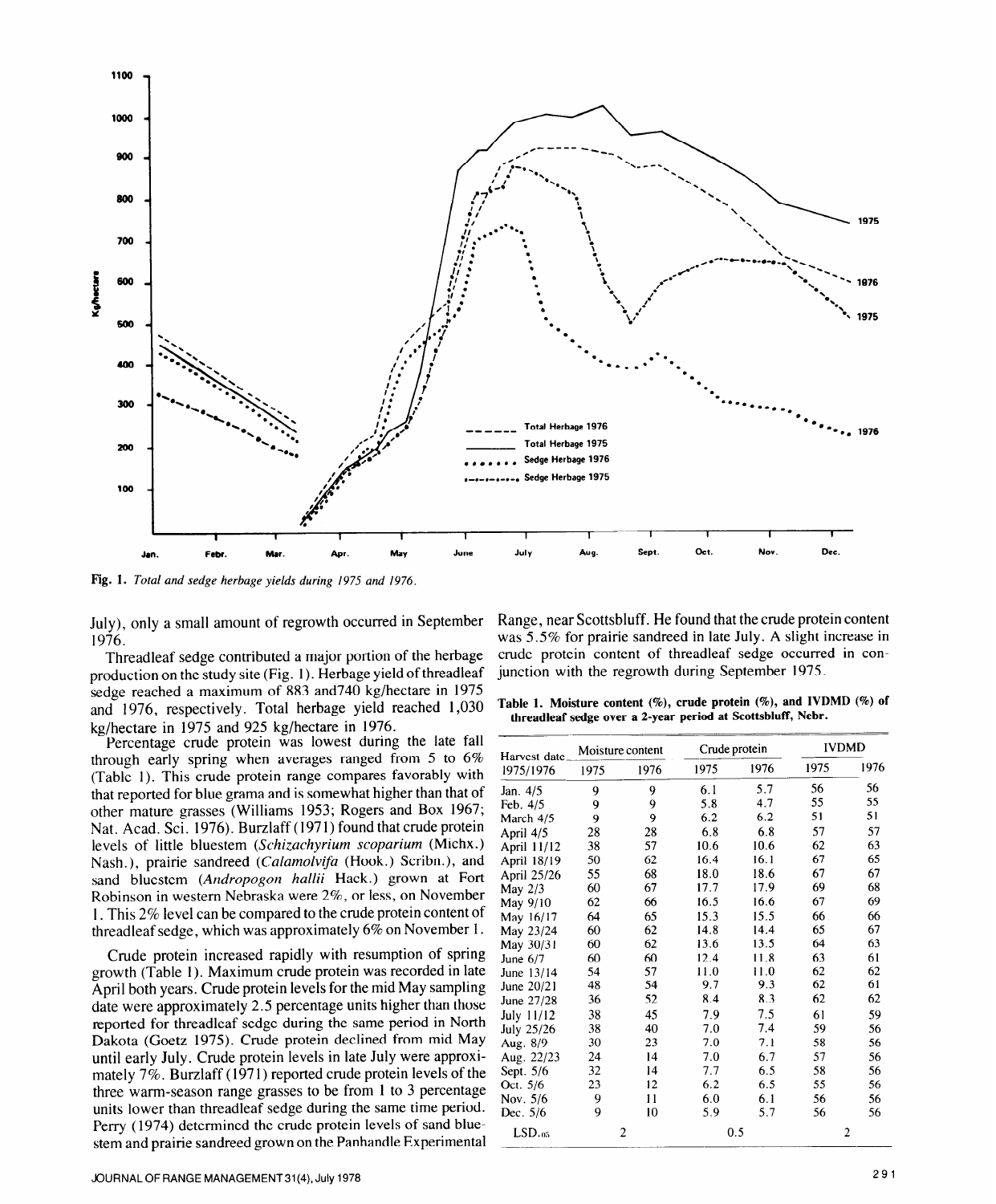

**Fig. 1. Total and** *sedge herbage yields during 1975 and 1976.* 

July), only a small amount of regrowth occurred in September 1976.

Threadleaf sedge contributed a major portion of the herbage production on the study site (Fig. 1). Herbage yield of threadleaf sedge reached a maximum of 883 and740 kg/hectare in 1975 and 1976, respectively. Total herbage yield reached 1,030 kg/hectare in 1975 and 925 kg/hectare in 1976.

Percentage crude protein was lowest during the late fall through early spring when averages ranged from 5 to 6% (Table 1). This crude protein range compares favorably with that reported for blue grama and is somewhat higher than that of other mature grasses (Williams 1953; Rogers and Box 1967; Nat. Acad. Sci. 1976). Burzlaff (1971) found that crude protein levels of little bluestem *(Schizachyriurn scoparium* (Michx.) Nash.), prairie sandreed *(Calamolvifa* (Hook.) Scribn.), and sand bluestem *(Andropogon hallii* Hack.) grown at Fort Robinson in western Nebraska were 2%, or less, on November 1. This 2% level can be compared to the crude protein content of threadleaf sedge, which was approximately 6% on November 1.

Crude protein increased rapidly with resumption of spring growth (Table 1). Maximum crude protein was recorded in late April both years. Crude protein levels for the mid May sampling date were approximately 2.5 percentage units higher than those reported for threadleaf sedge during the same period in North Dakota (Goetz 1975). Crude protein declined from mid May until early July. Crude protein levels in late July were approximately 7%. Burzlaff (1971) reported crude protein levels of the three warm-season range grasses to be from 1 to 3 percentage units lower than threadleaf sedge during the same time period. Perry ( 1974) determined the crude protein levels of sand bluestem and prairie sandreed grown on the Panhandle Experimental

Range, near Scottsbluff. He found that the crude protein content was 5.5% for prairie sandreed in late July. A slight increase in crude protein content of threadleaf sedge occurred in conjunction with the regrowth during September 1975.

**Table 1. Moisture content (%), crude protein (%), and IVDMD (%) of threadleaf sedge over a 2-year period at Scottsbluff, Nebr.** 

| Harvest date         | Moisture content |      | Crude protein |      | <b>IVDMD</b>   |      |
|----------------------|------------------|------|---------------|------|----------------|------|
| 1975/1976            | 1975             | 1976 | 1975          | 1976 | 1975           | 1976 |
| Jan. 4/5             | 9                | 9    | 6.1           | 5.7  | 56             | 56   |
| Feb. 4/5             | 9                | 9    | 5.8           | 4.7  | 55             | 55   |
| March 4/5            | 9                | 9    | 6.2           | 6.2  | 51             | 51   |
| April 4/5            | 28               | 28   | 6.8           | 6.8  | 57             | 57   |
| April 11/12          | 38               | 57   | 10.6          | 10.6 | 62             | 63   |
| April 18/19          | 50               | 62   | 16.4          | 16.1 | 67             | 65   |
| April 25/26          | 55               | 68   | 18.0          | 18.6 | 67             | 67   |
| May 2/3              | 60               | 67   | 17.7          | 17.9 | 69             | 68   |
| May 9/10             | 62               | 66   | 16.5          | 16.6 | 67             | 69   |
| May 16/17            | 64               | 65   | 15.3          | 15.5 | 66             | 66   |
| May 23/24            | 60               | 62   | 14.8          | 14.4 | 65             | 67   |
| May 30/31            | 60               | 62   | 13.6          | 13.5 | 64             | 63   |
| June $6/7$           | 60               | 60   | 12.4          | 11.8 | 63             | 61   |
| June 13/14           | 54               | 57   | 11.0          | 11.0 | 62             | 62   |
| June 20/21           | 48               | 54   | 9.7           | 9.3  | 62             | 61   |
| June 27/28           | 36               | 52   | 8.4           | 8.3  | 62             | 62   |
| July 11/12           | 38               | 45   | 7.9           | 7.5  | 61             | 59   |
| July 25/26           | 38               | 40   | 7.0           | 7.4  | 59             | 56   |
| Aug. 8/9             | 30               | 23   | 7.0           | 7.1  | 58             | 56   |
| Aug. 22/23           | 24               | 14   | 7.0           | 6.7  | 57             | 56   |
| Sept. 5/6            | 32               | 14   | 7.7           | 6.5  | 58             | 56   |
| Oct. 5/6             | 23               | 12   | 6.2           | 6.5  | 55             | 56   |
| Nov. 5/6             | 9                | 11   | 6.0           | 6.1  | 56             | 56   |
| Dec. 5/6             | 9                | 10   | 5.9           | 5.7  | 56             | 56   |
| $LSD.$ <sub>05</sub> | 2                |      | 0.5           |      | $\overline{2}$ |      |